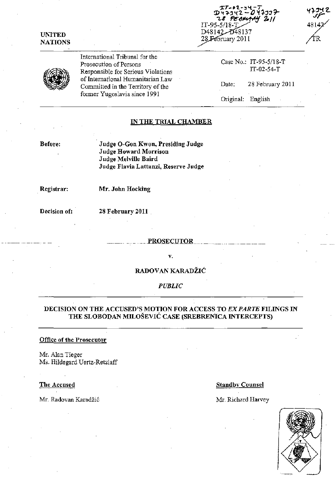IT-9 D48142-D48137 28 February 2011

| UNITED         |
|----------------|
| <b>NATIONS</b> |

International Tribunal for the Prosecution of Persons Responsible for Serious Violations of International Humanitarian Law Committed in the Territory of the former Yugoslavia since 1991

Case No.: IT -95-5/18-T IT-02-54-T

Date: 28 February 2011

Original: English

# IN THE TRIAL CHAMBER

Before:

Judge O-Gon Kwon, Presiding Judge Judge Howard Morrison Judge Melville Baird Judge Flavia Lattanzi, Reserve Jndge

. Registrar:

Mr. John Hocking

Decision of:

28 February 2011

#### PROSECUTOR

v.

RADOVAN KARADŽIĆ

*PUBLIC* 

# DECISION ON THE ACCUSED'S MOTION FOR ACCESS TO *EX PARTE FILINGS IN* THE SLOBODAN MILOŠEVIĆ CASE (SREBRENICA INTERCEPTS)

#### Office of the Prosecutor

Mr. Alan Tieger Ms. Hildegard Uertz-Retzlaff

Mr. Radovan Karadžić Mr. Richard Harvey

## The Accused Standby Counsel

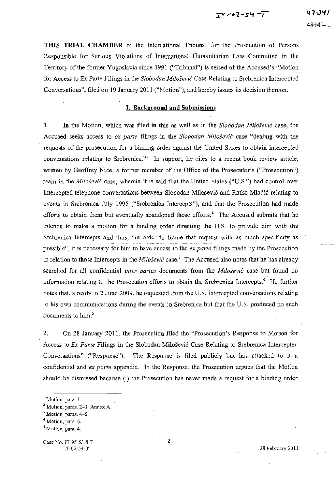**THIS TRIAL CHAMBER** of the International Tribunal for the Prosecution of Persons Responsible for Serious Violations of International Humanitarian Law Committed in the Territory of the former Yugoslavia since 1991 ("Tribunal") is seised of the Accused's "Motion for Access to Ex Parte Filings in the *Slobodan Milosevic* Case Relating to Srebrenica Intercepted Conversations", filed on 19 January 2011 ("Motion"), and hereby issues its decision thereon.

#### **I. Background and Submissions**

I. In the Motion, which was filed in this as well as in the *Slobodan Milosevic* case, the Accused seeks access to *ex parte* filings in the *Slobodan Milosevic* case "dealing with the requests of the prosecution for a binding order against the United States to obtain intercepted conversations relating to Srebrenica."<sup>I</sup> In support, he cites to a recent book review article, written by Geoffrey Nice, a former member of the Office of the Prosecutor's ("Prosecution") team in the *Milosevic* case, wherein it is said that the United States ("U.S.") had control over intercepted telephone conversations between Slobodan Milosevi6 and Ratko Mladi6 relating to events in Srebrenica July 1995 ("Srebrenica Intercepts"), and that the Prosecution had made efforts to obtain them but eventually abandoned those efforts.<sup>2</sup> The Accused submits that he intends to make a motion for a binding order directing the U.S. to provide him with the Srebrenica Intercepts and thus, "in order to frame that request with ,as much specificity as possible", it is necessary for him to have access to the *ex parte* filings made by the Prosecution in relation to those Intercepts in the *Milosevic* case.3 The Accused also notes that he has already searched for all confidential *inter partes* documents from the *Milosevic* case but found no information relating to the Prosecution efforts to obtain the Srebrenica Intercepts.<sup>4</sup> He further notes that, already in 2 June 2009, he requested from the U,S, intercepted conversations relating to his own communications during the events in Srebrenica but that the U,S, produced no such  $d$ ocuments to him. $^5$ 

2. On 28 January 2011, the Prosecution filed the "Prosecution's Response to Motion for Access to *Ex Parte* Filings in the Slobodan Milosevi6 Case Relating to Srebrenica Intercepted Conversations" ("Response"), The Response is filed publicly but has attached to it a confidential and *ex parte* appendix. In the Response, the Prosecution argues that the Motion should be dismissed because (i) the Prosecution has never made a request for a binding order

**5 Motion, para. 4.** 

Case No. IT-9S-S/1S-T IT-02-S4-T

28 February 2011

**<sup>I</sup>Motion, para. 1,** 

**<sup>2</sup> Motion, paras. 2-3, Annex A.** 

**<sup>3</sup> Motion, paras. 4-5.** 

**<sup>4</sup> Motion, para. 6.**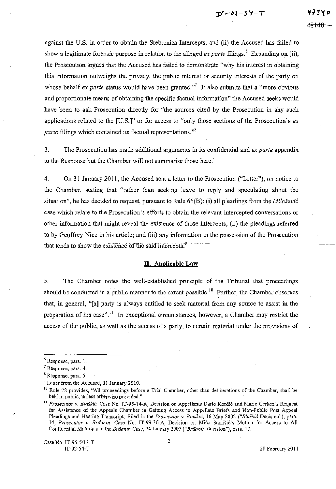against the U.S. in order to obtain the Srebrenica Intercepts, and (ii) the Accused has failed to show a legitimate forensic purpose in relation to the alleged *ex parte* filings.<sup>6</sup> Expanding on (ii), the Prosecution argues that the Accused has failed to demonstrate "why his interest in obtaining this information outweighs the privacy, the public interest or security interests of the party on whose behalf *ex parte* status would have been granted."<sup>7</sup> It also submits that a "more obvious" and proportionate means of obtaining the specific factual information" the Accused seeks would have been to ask Prosecution directly for "the sources cited by the Prosecution in any such applications related to the [U.S.]" or for access to "only those sections of the Prosecution's *ex parte* filings which contained its factual representations."<sup>8</sup>

3. The Prosecution has made additional arguments in its confidential and *ex parte* appendix to the Response but the Chamber will not summarise those here.'

4. On 31 January 2011, the Accused sent a letter to the Prosecution ("Letter"), on notice to the Chamber, stating that "rather than seeking leave to reply and speculating about the situation", he has decided to request, pursuant to Rule 66(B): (i) all pleadings from the *Milošević* case which relate to the Prosecution's efforts to obtain the relevant intercepted conversations or other information that might reveal the existence of those intercepts; (ii) the pleadings referred to by Geoffrey Nice in his article; and (iii) any information in the possession of the Prosecution that tends to show the existence of the said intercepts.<sup>9</sup>

# **n. Applicable Law**

5. The Chamber notes the well-established principle of the Tribunal that proceedings should be conducted in a public manner to the extent possible.<sup>10</sup> Further, the Chamber observes that, in general, "[a] party is always entitled to seek material from any source to assist in the preparation of his case".<sup>11</sup> In exceptional circumstances, however, a Chamber may restrict the access of the public, as well as the access of a party, to certain material under the provisions of

Case No.1T-9S-SI18-T IT-02-S4-T

**<sup>6</sup> Response, para. 1.** 

**<sup>7</sup> Response, para. 4.** 

**<sup>8</sup> Response, para. 5.** 

 $<sup>9</sup>$  Letter from the Accused, 31 January 2010.</sup>

<sup>&</sup>lt;sup>10</sup> Rule 78 provides, "All proceedings before a Trial Chamber, other than deliberations of the Chamber, shall be **held in public, unless otherwise provided."** 

<sup>&</sup>lt;sup>11</sup> Prosecutor v. *Blaškić*, Case No. IT-95-14-A, Decision on Appellants Dario Kordić and Mario Čerkez's Request **for Assistance of the Appeals Chamber in Gaining Access to Appellate Briefs and Non-Public Post Appeal Pleadings and Hearing Transcripts Filed in the** *Prosecutor v. Blaski6,* **16 May 2002** *("Blaski6* **Decision"), para.**  *14; Prosecutor v. Braanin,* **Case No. IT-99-36-A, Decision on Mica Stanisic's Motion for Access to All**   $Confidential$  Materials in the *Brdanin Case, 24 January 2007 ("Brdanin Decision"), para. 10.*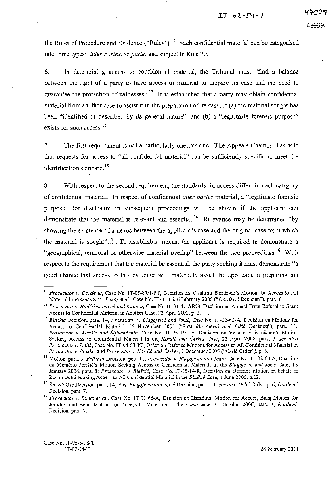the Rules of Procedure and Evidence ("Rules"),  $^{12}$  Such confidential material can be categorised into three types: *inter partes, ex parte,* and subject to Rule 70.

6. In determining access to confidential material, the Tribunal must "find a balance between the right of a party to have access to material to prepare its case and the need to guarantee the protection of witnesses".<sup>13</sup> It is established that a party may obtain confidential material from another case to assist it in the preparation of its case, if (a) the material sought has been "identified or described by its general nature"; and (b) a "legitimate forensic purpose" exists for such access.<sup>14</sup>

7. The first requirement is not a particularly onerous one. The Appeals Chamber has held that requests for access to "all confidential material" can be sufficiently specific to meet the identification standard.<sup>15</sup>

8. With respect to the second requirement, the standards for access differ for each category of confidential material. In respect of confidential *inter partes* material, a "legitimate forensic purpose" for disclosure in subsequent proceedings will be shown if the applicant can demonstrate that the material is relevant and essential.<sup>16</sup> Relevance may be determined "by showing the existence of a nexus between the applicant's case and the original case from which the material is sought".<sup>17</sup> To establish a nexus, the applicant is required to demonstrate a "geographical, temporal or otherwise material overlap" between the two proceedings.<sup>18</sup> With respect to the requirement that the material be essential, the party seeking it must demonstrate "a good chance that access to this evidence will materially assist the applicant in preparing his

<sup>&</sup>lt;sup>12</sup> Prosecutor v. Đorđević, Case No. IT-05-87/1-PT, Decision on Vlastimir Đorđević's Motion for Access to All Material in Prosecutor v. Limaj et al., Case No. IT-03-66, 6 February 2008 ("Đorđević Decision"), para. 6.

<sup>&</sup>lt;sup>13</sup> Prosecutor v. *Hadžihasanović and Kubura*, Case No IT-01-47-AR73, Decision on Appeal From Refusal to Grant Access to Confidential Material in Another Case, 23 April 2002, p. 2.

**<sup>14</sup>***Blaski6* **Decision, para 14;** *Prosecutor v. Blagojevic and Joki6,* **Case No. IT-02-60-A, Decision On Motions for Access to Confidential Material, 16 November 2005 ("First** *Blagojevic and Jokic* **Decision"), para. 11;**  *Prosecutor v. Mrksic and Sljivancanin,* **Case No. IT-95-13I1-A, Decision on Veselin** Sljiv~ncanin's **Motion Seeking Access to Confidential Material in the,** *Kordic and Cerkez.* **Case, 22 April 2008, para. 7;** *see also Prosecutor* **v.** *Delic,* **Case No. IT -04-83-PT, Order on Defence Motions for Access to All Confidential Material in**  *Prosecutor v. Blaskic* **and** *Prosecutor v. Kordic and Cerkez,* **7 December 2005** *("Delic* **Order"), p. 6.** 

<sup>&</sup>lt;sup>15</sup> Motion, para. 3; *Brdanin Decision, para 11; Prosecutor v. Blagojević and Jokić, Case No. IT-02-60-A, Decision* **on Momcilo Perisi6's Motion Seeking Access to\_ Confidential Materials in the** *Blagojevic and Jokic* **Case, 18 January 2006, para. 8;** *Prosecutor v. Blaskic,* **Case No. IT-95-14-R, Decision on Defence Motion on behalf of**  Rasim Delić Seeking Access to All Confidential Material in the Blaskić Case, 1 June 2006, p.12.

**<sup>16</sup>***See Blaskic* **Decision, para. 14;** First *Blagojevic and jokic* **Decision, para. 11;** *see also Delic* **Order, p. 6;** *Dort/evic*  **Decision, para. 7.** 

**<sup>17</sup>***Prosecutor v. Lima) et al.,* **Case No. IT-03-66-A, Decision on Haradinaj Motion for Access, Balaj Motion for**  Joinder, and Balaj Motion for Access to Materials in the *Limaj* case, 31 October 2006, para. 7; *Đorđević* **Decision, para. 7.**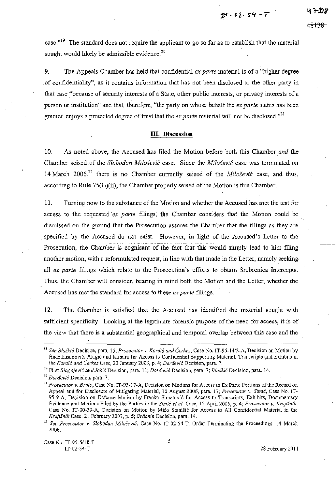$25 - 02 - 54 - 7$ 

case.<sup> $,19$ </sup> The standard does not require the applicant to go so far as to establish that the material sought would likely be admissible evidence.<sup>20</sup>

9. The Appeals Chamber has held that confidential *ex parte* material is of a "higher degree of confidentiality", as it contains information that has not been disclosed to the other party in that case "because of security interests of a State, other public interests, or privacy interests of a person or institution" and that, therefore, "the party on whose behalf the *ex parte* status has been granted enjoys a protected degree of trust that the *ex parte* material will not be disclosed."<sup>21</sup>

#### **Ill. Discussion**

10. As noted above, the Accused has filed the Motion before both this Chamber *and* the Chamber seised of the *Slobodan Milosevic* case. Since the *Milosevic* case was terminated on 14 March 2006<sup>22</sup> there is no Chamber currently seised of the *Milošević* case, and thus, according to **Rule** 75(G)(ii), the Chamber properly seised of the Motion is this Chamber.

**11.** Turning now to the substance of the Motion and whether the Accused has met the test for access to the requested *ex parte* filings, the Chamber considers that the Motion could be dismissed on the ground that the Prosecution assures the Chamber that the filings as they are specified by the Accused do not exist. However, in light of the Accused's Letter to the specified by the Accused do not exist. However, in fight of the Accused's Letter to the another motion, with a reformulated request, in line with that made in the Letter, namely seeking all *ex parte* filings which relate to the Prosecution's. efforts to obtain Srebrenica Intercepts. Thus, the Chamber will consider, bearing in mind both the Motion and the Letter, whether the Accused has met the standard for access to these *ex parte* filings.

12. The Chamber is satisfied that the Accused has identified the material sought with sufficient specificity. Looking at the legitimate forensic purpose of the need for access, it is of the view that there is a substantial geographical and temporal overlap between this case and the

5

**<sup>18</sup>***See Bla§kic* **Decision, para. 15;** *Prosecutor v. Kordic and Cerkez,* **Case No.** *IT-95-14/2-A,* **Decision on Motion by Hadzihasanovi6, Alagi6 and Kubura for Access to Confidential Supporting Material, Transcripts and Exhibits in the** *Kardie and Cerkez* **Case, 23 January 2003, p. 4;** *Doraevif:* **Decision, para. 7.** 

**<sup>19</sup>First** *BZagojevif: and Jokic* **Decision, para. 11;** *Dortlevic* **Decision, para. 7;** *Blasld6* **Decision, para. 14.** 

**<sup>20</sup>***Doraevi6* **Decision, para. 7.** 

**<sup>21</sup>***Prosecutor v. Bralo,* **Case No. IT-95-17-A, Decision on Motions for Access to Ex Parte Portions** of the **Record on Appeal and for Disclosure of Mitigating Material, 30 August.2006, para. 17;** *Prosecutor* **v.** *Simic,* **Case No. IT-95-9-A, Decision on Defence Motion by Franko Simatovic for Access to Transcripts, Exhibits, Documentary Evidence and Motions Filed by the Parties in the** *Simic et al.* **Case, 12 April 2005, p. 4;** *Prosecutor v. Krajisnik,*  **Case No. IT-OO-39-A, Decision on M'otion by Mico Stanisic for Access to All Confidential Material in the**  Krajišnik Case, 21 February 2007, p. 5; Brđanin Decision, para. 14.

**<sup>22</sup>***See Prosecutor v. Slobodan Milosevic,* **Case No. IT-02-54-T, Order Tenninating the Proceedings, 14 March**  2006.